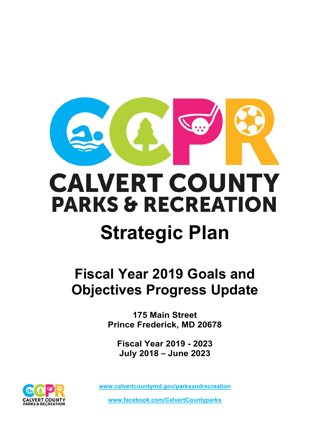

# **CALVERT COUNTY PARKS & RECREATION Strategic Plan**

# **Fiscal Year 2019 Goals and Objectives Progress Update**

**175 Main Street Prince Frederick, MD 20678** 

**Fiscal Year 2019 - 2023 July 2018 – June 2023** 



**www.calvertcountymd.gov/parksandrecreation** 

**www.facebook.com/CalvertCountyparks**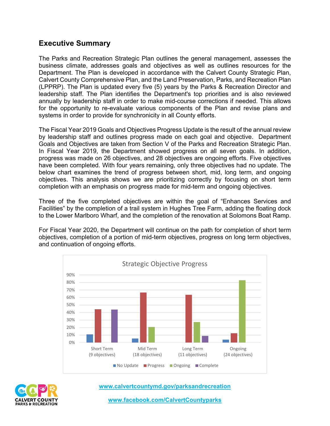# **Executive Summary**

The Parks and Recreation Strategic Plan outlines the general management, assesses the business climate, addresses goals and objectives as well as outlines resources for the Department. The Plan is developed in accordance with the Calvert County Strategic Plan, Calvert County Comprehensive Plan, and the Land Preservation, Parks, and Recreation Plan (LPPRP). The Plan is updated every five (5) years by the Parks & Recreation Director and leadership staff. The Plan identifies the Department's top priorities and is also reviewed annually by leadership staff in order to make mid-course corrections if needed. This allows for the opportunity to re-evaluate various components of the Plan and revise plans and systems in order to provide for synchronicity in all County efforts.

The Fiscal Year 2019 Goals and Objectives Progress Update is the result of the annual review by leadership staff and outlines progress made on each goal and objective. Department Goals and Objectives are taken from Section V of the Parks and Recreation Strategic Plan. In Fiscal Year 2019, the Department showed progress on all seven goals. In addition, progress was made on 26 objectives, and 28 objectives are ongoing efforts. Five objectives have been completed. With four years remaining, only three objectives had no update. The below chart examines the trend of progress between short, mid, long term, and ongoing objectives. This analysis shows we are prioritizing correctly by focusing on short term completion with an emphasis on progress made for mid-term and ongoing objectives.

Three of the five completed objectives are within the goal of "Enhances Services and Facilities" by the completion of a trail system in Hughes Tree Farm, adding the floating dock to the Lower Marlboro Wharf, and the completion of the renovation at Solomons Boat Ramp.

For Fiscal Year 2020, the Department will continue on the path for completion of short term objectives, completion of a portion of mid-term objectives, progress on long term objectives, and continuation of ongoing efforts.





**www.calvertcountymd.gov/parksandrecreation** 

**www.facebook.com/CalvertCountyparks**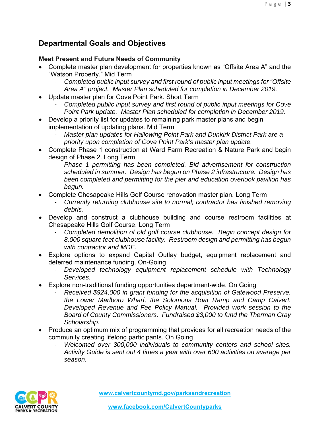# **Departmental Goals and Objectives**

# **Meet Present and Future Needs of Community**

- Complete master plan development for properties known as "Offsite Area A" and the "Watson Property." Mid Term
	- *Completed public input survey and first round of public input meetings for "Offsite Area A" project. Master Plan scheduled for completion in December 2019.*
- Update master plan for Cove Point Park. Short Term
	- *Completed public input survey and first round of public input meetings for Cove Point Park update. Master Plan scheduled for completion in December 2019.*
- Develop a priority list for updates to remaining park master plans and begin implementation of updating plans. Mid Term
	- *Master plan updates for Hallowing Point Park and Dunkirk District Park are a priority upon completion of Cove Point Park's master plan update.*
- Complete Phase 1 construction at Ward Farm Recreation & Nature Park and begin design of Phase 2. Long Term
	- *Phase 1 permitting has been completed. Bid advertisement for construction scheduled in summer. Design has begun on Phase 2 infrastructure. Design has been completed and permitting for the pier and education overlook pavilion has begun.*
- Complete Chesapeake Hills Golf Course renovation master plan. Long Term
	- *Currently returning clubhouse site to normal; contractor has finished removing debris.*
- Develop and construct a clubhouse building and course restroom facilities at Chesapeake Hills Golf Course. Long Term
	- *Completed demolition of old golf course clubhouse. Begin concept design for 8,000 square feet clubhouse facility. Restroom design and permitting has begun with contractor and MDE.*
- Explore options to expand Capital Outlay budget, equipment replacement and deferred maintenance funding. On-Going
	- *Developed technology equipment replacement schedule with Technology Services.*
- Explore non-traditional funding opportunities department-wide. On Going
	- *Received \$924,000 in grant funding for the acquisition of Gatewood Preserve, the Lower Marlboro Wharf, the Solomons Boat Ramp and Camp Calvert. Developed Revenue and Fee Policy Manual. Provided work session to the Board of County Commissioners. Fundraised \$3,000 to fund the Therman Gray Scholarship.*
- Produce an optimum mix of programming that provides for all recreation needs of the community creating lifelong participants. On Going
	- *Welcomed over 300,000 individuals to community centers and school sites. Activity Guide is sent out 4 times a year with over 600 activities on average per season.*

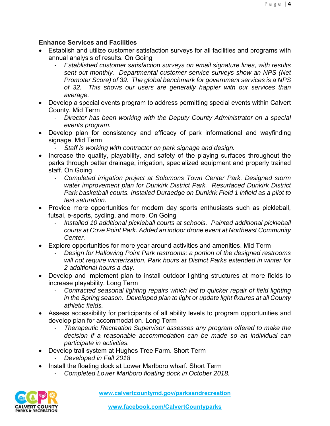#### **Enhance Services and Facilities**

- Establish and utilize customer satisfaction surveys for all facilities and programs with annual analysis of results. On Going
	- *Established customer satisfaction surveys on email signature lines, with results sent out monthly. Departmental customer service surveys show an NPS (Net Promoter Score) of 39. The global benchmark for government services is a NPS of 32. This shows our users are generally happier with our services than average.*
- Develop a special events program to address permitting special events within Calvert County. Mid Term
	- *Director has been working with the Deputy County Administrator on a special events program.*
- Develop plan for consistency and efficacy of park informational and wayfinding signage. Mid Term
	- *Staff is working with contractor on park signage and design.*
- Increase the quality, playability, and safety of the playing surfaces throughout the parks through better drainage, irrigation, specialized equipment and properly trained staff. On Going
	- *Completed irrigation project at Solomons Town Center Park. Designed storm water improvement plan for Dunkirk District Park. Resurfaced Dunkirk District Park basketball courts. Installed Duraedge on Dunkirk Field 1 infield as a pilot to test saturation.*
- Provide more opportunities for modern day sports enthusiasts such as pickleball, futsal, e-sports, cycling, and more. On Going
	- *Installed 10 additional pickleball courts at schools. Painted additional pickleball courts at Cove Point Park. Added an indoor drone event at Northeast Community Center.*
- Explore opportunities for more year around activities and amenities. Mid Term
	- *Design for Hallowing Point Park restrooms; a portion of the designed restrooms will not require winterization. Park hours at District Parks extended in winter for 2 additional hours a day.*
- Develop and implement plan to install outdoor lighting structures at more fields to increase playability. Long Term
	- *Contracted seasonal lighting repairs which led to quicker repair of field lighting in the Spring season. Developed plan to light or update light fixtures at all County athletic fields.*
- Assess accessibility for participants of all ability levels to program opportunities and develop plan for accommodation. Long Term
	- *Therapeutic Recreation Supervisor assesses any program offered to make the decision if a reasonable accommodation can be made so an individual can participate in activities.*
- Develop trail system at Hughes Tree Farm. Short Term
	- *Developed in Fall 2018*
- Install the floating dock at Lower Marlboro wharf. Short Term
	- *Completed Lower Marlboro floating dock in October 2018.*

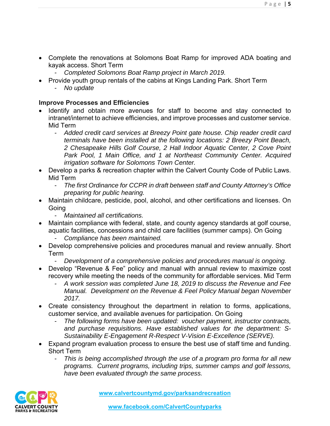- Complete the renovations at Solomons Boat Ramp for improved ADA boating and kayak access. Short Term
	- *Completed Solomons Boat Ramp project in March 2019.*
- Provide youth group rentals of the cabins at Kings Landing Park. Short Term
	- *No update*

#### **Improve Processes and Efficiencies**

- Identify and obtain more avenues for staff to become and stay connected to intranet/internet to achieve efficiencies, and improve processes and customer service. Mid Term
	- *Added credit card services at Breezy Point gate house. Chip reader credit card terminals have been installed at the following locations: 2 Breezy Point Beach, 2 Chesapeake Hills Golf Course, 2 Hall Indoor Aquatic Center, 2 Cove Point Park Pool, 1 Main Office, and 1 at Northeast Community Center. Acquired irrigation software for Solomons Town Center.*
- Develop a parks & recreation chapter within the Calvert County Code of Public Laws. Mid Term
	- *The first Ordinance for CCPR in draft between staff and County Attorney's Office preparing for public hearing.*
- Maintain childcare, pesticide, pool, alcohol, and other certifications and licenses. On **Going** 
	- *Maintained all certifications.*
- Maintain compliance with federal, state, and county agency standards at golf course, aquatic facilities, concessions and child care facilities (summer camps). On Going
	- *Compliance has been maintained.*
- Develop comprehensive policies and procedures manual and review annually. Short Term
	- *Development of a comprehensive policies and procedures manual is ongoing.*
- Develop "Revenue & Fee" policy and manual with annual review to maximize cost recovery while meeting the needs of the community for affordable services. Mid Term
	- *A work session was completed June 18, 2019 to discuss the Revenue and Fee Manual. Development on the Revenue & Feel Policy Manual began November 2017.*
- Create consistency throughout the department in relation to forms, applications, customer service, and available avenues for participation. On Going
	- *The following forms have been updated: voucher payment, instructor contracts, and purchase requisitions. Have established values for the department: S-Sustainability E-Engagement R-Respect V-Vision E-Excellence (SERVE).*
- Expand program evaluation process to ensure the best use of staff time and funding. Short Term
	- *This is being accomplished through the use of a program pro forma for all new programs. Current programs, including trips, summer camps and golf lessons, have been evaluated through the same process.*

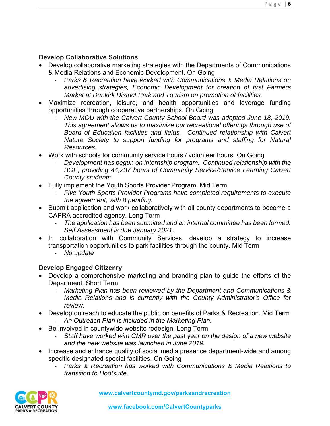#### **Develop Collaborative Solutions**

- Develop collaborative marketing strategies with the Departments of Communications & Media Relations and Economic Development. On Going
	- *Parks & Recreation have worked with Communications & Media Relations on advertising strategies, Economic Development for creation of first Farmers Market at Dunkirk District Park and Tourism on promotion of facilities.*
- Maximize recreation, leisure, and health opportunities and leverage funding opportunities through cooperative partnerships. On Going
	- *New MOU with the Calvert County School Board was adopted June 18, 2019. This agreement allows us to maximize our recreational offerings through use of Board of Education facilities and fields. Continued relationship with Calvert Nature Society to support funding for programs and staffing for Natural Resources.*
- Work with schools for community service hours / volunteer hours. On Going
	- *Development has begun on internship program. Continued relationship with the BOE, providing 44,237 hours of Community Service/Service Learning Calvert County students.*
- Fully implement the Youth Sports Provider Program. Mid Term
	- *Five Youth Sports Provider Programs have completed requirements to execute the agreement, with 8 pending.*
- Submit application and work collaboratively with all county departments to become a CAPRA accredited agency. Long Term
	- *The application has been submitted and an internal committee has been formed. Self Assessment is due January 2021.*
- In collaboration with Community Services, develop a strategy to increase transportation opportunities to park facilities through the county. Mid Term
	- *No update*

# **Develop Engaged Citizenry**

- Develop a comprehensive marketing and branding plan to guide the efforts of the Department. Short Term
	- *Marketing Plan has been reviewed by the Department and Communications & Media Relations and is currently with the County Administrator's Office for review.*
- Develop outreach to educate the public on benefits of Parks & Recreation. Mid Term *- An Outreach Plan is included in the Marketing Plan.*
- Be involved in countywide website redesign. Long Term
	- *Staff have worked with CMR over the past year on the design of a new website and the new website was launched in June 2019.*
- Increase and enhance quality of social media presence department-wide and among specific designated special facilities. On Going
	- *Parks & Recreation has worked with Communications & Media Relations to transition to Hootsuite.*

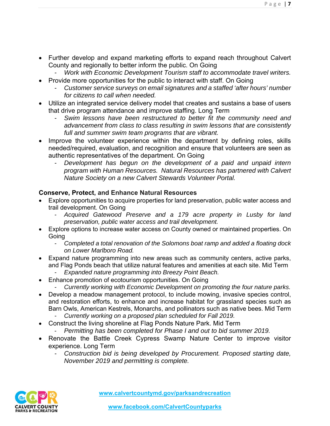- Further develop and expand marketing efforts to expand reach throughout Calvert County and regionally to better inform the public. On Going
	- *Work with Economic Development Tourism staff to accommodate travel writers.*
- Provide more opportunities for the public to interact with staff. On Going
	- *Customer service surveys on email signatures and a staffed 'after hours' number for citizens to call when needed.*
- Utilize an integrated service delivery model that creates and sustains a base of users that drive program attendance and improve staffing. Long Term
	- *Swim lessons have been restructured to better fit the community need and advancement from class to class resulting in swim lessons that are consistently full and summer swim team programs that are vibrant.*
- Improve the volunteer experience within the department by defining roles, skills needed/required, evaluation, and recognition and ensure that volunteers are seen as authentic representatives of the department. On Going
	- *Development has begun on the development of a paid and unpaid intern program with Human Resources. Natural Resources has partnered with Calvert Nature Society on a new Calvert Stewards Volunteer Portal.*

# **Conserve, Protect, and Enhance Natural Resources**

- Explore opportunities to acquire properties for land preservation, public water access and trail development. On Going
	- *Acquired Gatewood Preserve and a 179 acre property in Lusby for land preservation, public water access and trail development.*
- Explore options to increase water access on County owned or maintained properties. On **Going** 
	- *Completed a total renovation of the Solomons boat ramp and added a floating dock on Lower Marlboro Road.*
- Expand nature programming into new areas such as community centers, active parks, and Flag Ponds beach that utilize natural features and amenities at each site. Mid Term
	- *Expanded nature programming into Breezy Point Beach.*
- Enhance promotion of ecotourism opportunities. On Going
	- *Currently working with Economic Development on promoting the four nature parks.*
- Develop a meadow management protocol, to include mowing, invasive species control, and restoration efforts, to enhance and increase habitat for grassland species such as Barn Owls, American Kestrels, Monarchs, and pollinators such as native bees. Mid Term
	- *Currently working on a proposed plan scheduled for Fall 2019.*
- Construct the living shoreline at Flag Ponds Nature Park. Mid Term
	- *Permitting has been completed for Phase I and out to bid summer 2019.*
- Renovate the Battle Creek Cypress Swamp Nature Center to improve visitor experience. Long Term
	- *Construction bid is being developed by Procurement. Proposed starting date, November 2019 and permitting is complete.*

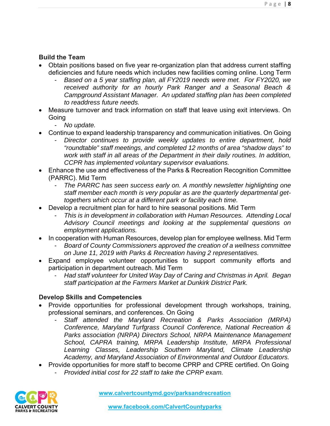#### **Build the Team**

- Obtain positions based on five year re-organization plan that address current staffing deficiencies and future needs which includes new facilities coming online. Long Term
	- *Based on a 5 year staffing plan, all FY2019 needs were met. For FY2020, we received authority for an hourly Park Ranger and a Seasonal Beach & Campground Assistant Manager. An updated staffing plan has been completed to readdress future needs.*
- Measure turnover and track information on staff that leave using exit interviews. On Going
	- *No update.*
- Continue to expand leadership transparency and communication initiatives. On Going
	- *Director continues to provide weekly updates to entire department, hold "roundtable" staff meetings, and completed 12 months of area "shadow days" to work with staff in all areas of the Department in their daily routines. In addition, CCPR has implemented voluntary supervisor evaluations.*
- Enhance the use and effectiveness of the Parks & Recreation Recognition Committee (PARRC). Mid Term
	- *The PARRC has seen success early on. A monthly newsletter highlighting one staff member each month is very popular as are the quarterly departmental gettogethers which occur at a different park or facility each time.*
- Develop a recruitment plan for hard to hire seasonal positions. Mid Term
	- *This is in development in collaboration with Human Resources. Attending Local Advisory Council meetings and looking at the supplemental questions on employment applications.*
- In cooperation with Human Resources, develop plan for employee wellness. Mid Term
	- *Board of County Commissioners approved the creation of a wellness committee on June 11, 2019 with Parks & Recreation having 2 representatives.*
- Expand employee volunteer opportunities to support community efforts and participation in department outreach. Mid Term
	- *Had staff volunteer for United Way Day of Caring and Christmas in April. Began staff participation at the Farmers Market at Dunkirk District Park.*

#### **Develop Skills and Competencies**

- Provide opportunities for professional development through workshops, training, professional seminars, and conferences. On Going
	- *Staff attended the Maryland Recreation & Parks Association (MRPA) Conference, Maryland Turfgrass Council Conference, National Recreation & Parks association (NRPA) Directors School, NRPA Maintenance Management School, CAPRA training, MRPA Leadership Institute, MRPA Professional Learning Classes, Leadership Southern Maryland, Climate Leadership Academy, and Maryland Association of Environmental and Outdoor Educators.*
- Provide opportunities for more staff to become CPRP and CPRE certified. On Going
	- *Provided initial cost for 22 staff to take the CPRP exam.*